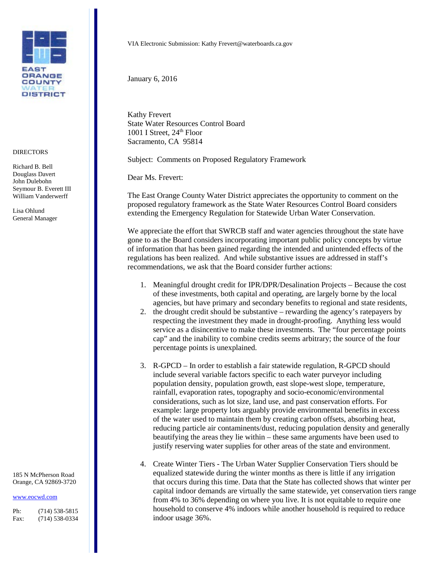

## **DIRECTORS**

Richard B. Bell Douglass Davert John Dulebohn Seymour B. Everett III William Vanderwerff

Lisa Ohlund General Manager

185 N McPherson Road Orange, CA 92869-3720

## [www.eocwd.com](http://www.eocwd.com/)

Ph: (714) 538-5815 Fax: (714) 538-0334 VIA Electronic Submission: Kathy Frevert@waterboards.ca.gov

January 6, 2016

Kathy Frevert State Water Resources Control Board 1001 I Street,  $24<sup>th</sup>$  Floor Sacramento, CA 95814

Subject: Comments on Proposed Regulatory Framework

Dear Ms. Frevert:

The East Orange County Water District appreciates the opportunity to comment on the proposed regulatory framework as the State Water Resources Control Board considers extending the Emergency Regulation for Statewide Urban Water Conservation.

We appreciate the effort that SWRCB staff and water agencies throughout the state have gone to as the Board considers incorporating important public policy concepts by virtue of information that has been gained regarding the intended and unintended effects of the regulations has been realized. And while substantive issues are addressed in staff's recommendations, we ask that the Board consider further actions:

- 1. Meaningful drought credit for IPR/DPR/Desalination Projects Because the cost of these investments, both capital and operating, are largely borne by the local agencies, but have primary and secondary benefits to regional and state residents,
- 2. the drought credit should be substantive rewarding the agency's ratepayers by respecting the investment they made in drought-proofing. Anything less would service as a disincentive to make these investments. The "four percentage points cap" and the inability to combine credits seems arbitrary; the source of the four percentage points is unexplained.
- 3. R-GPCD In order to establish a fair statewide regulation, R-GPCD should include several variable factors specific to each water purveyor including population density, population growth, east slope-west slope, temperature, rainfall, evaporation rates, topography and socio-economic/environmental considerations, such as lot size, land use, and past conservation efforts. For example: large property lots arguably provide environmental benefits in excess of the water used to maintain them by creating carbon offsets, absorbing heat, reducing particle air contaminents/dust, reducing population density and generally beautifying the areas they lie within – these same arguments have been used to justify reserving water supplies for other areas of the state and environment.
- 4. Create Winter Tiers The Urban Water Supplier Conservation Tiers should be equalized statewide during the winter months as there is little if any irrigation that occurs during this time. Data that the State has collected shows that winter per capital indoor demands are virtually the same statewide, yet conservation tiers range from 4% to 36% depending on where you live. It is not equitable to require one household to conserve 4% indoors while another household is required to reduce indoor usage 36%.